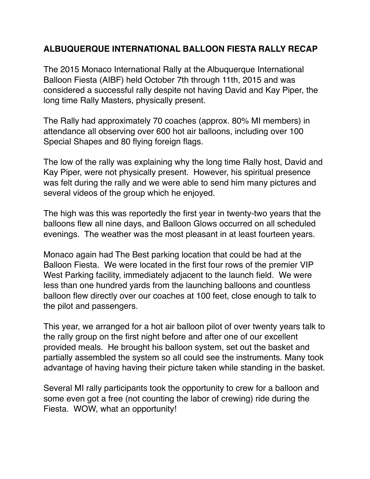## **ALBUQUERQUE INTERNATIONAL BALLOON FIESTA RALLY RECAP**

The 2015 Monaco International Rally at the Albuquerque International Balloon Fiesta (AIBF) held October 7th through 11th, 2015 and was considered a successful rally despite not having David and Kay Piper, the long time Rally Masters, physically present.

The Rally had approximately 70 coaches (approx. 80% MI members) in attendance all observing over 600 hot air balloons, including over 100 Special Shapes and 80 flying foreign flags.

The low of the rally was explaining why the long time Rally host, David and Kay Piper, were not physically present. However, his spiritual presence was felt during the rally and we were able to send him many pictures and several videos of the group which he enjoyed.

The high was this was reportedly the first year in twenty-two years that the balloons flew all nine days, and Balloon Glows occurred on all scheduled evenings. The weather was the most pleasant in at least fourteen years.

Monaco again had The Best parking location that could be had at the Balloon Fiesta. We were located in the first four rows of the premier VIP West Parking facility, immediately adjacent to the launch field. We were less than one hundred yards from the launching balloons and countless balloon flew directly over our coaches at 100 feet, close enough to talk to the pilot and passengers.

This year, we arranged for a hot air balloon pilot of over twenty years talk to the rally group on the first night before and after one of our excellent provided meals. He brought his balloon system, set out the basket and partially assembled the system so all could see the instruments. Many took advantage of having having their picture taken while standing in the basket.

Several MI rally participants took the opportunity to crew for a balloon and some even got a free (not counting the labor of crewing) ride during the Fiesta. WOW, what an opportunity!